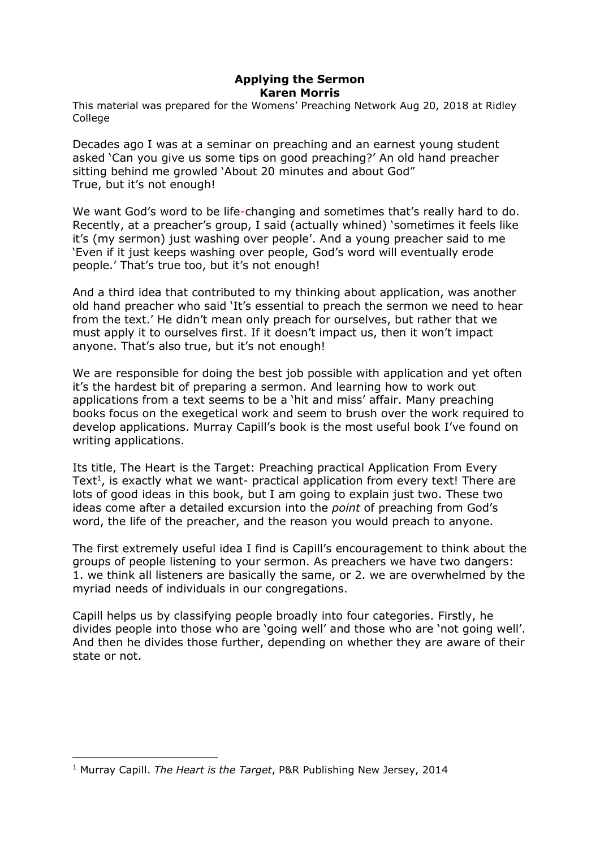## Applying the Sermon Karen Morris

This material was prepared for the Womens' Preaching Network Aug 20, 2018 at Ridley **College** 

Decades ago I was at a seminar on preaching and an earnest young student asked 'Can you give us some tips on good preaching?' An old hand preacher sitting behind me growled 'About 20 minutes and about God" True, but it's not enough!

We want God's word to be life-changing and sometimes that's really hard to do. Recently, at a preacher's group, I said (actually whined) 'sometimes it feels like it's (my sermon) just washing over people'. And a young preacher said to me 'Even if it just keeps washing over people, God's word will eventually erode people.' That's true too, but it's not enough!

And a third idea that contributed to my thinking about application, was another old hand preacher who said 'It's essential to preach the sermon we need to hear from the text.' He didn't mean only preach for ourselves, but rather that we must apply it to ourselves first. If it doesn't impact us, then it won't impact anyone. That's also true, but it's not enough!

We are responsible for doing the best job possible with application and yet often it's the hardest bit of preparing a sermon. And learning how to work out applications from a text seems to be a 'hit and miss' affair. Many preaching books focus on the exegetical work and seem to brush over the work required to develop applications. Murray Capill's book is the most useful book I've found on writing applications.

Its title, The Heart is the Target: Preaching practical Application From Every Text<sup>1</sup>, is exactly what we want- practical application from every text! There are lots of good ideas in this book, but I am going to explain just two. These two ideas come after a detailed excursion into the *point* of preaching from God's word, the life of the preacher, and the reason you would preach to anyone.

The first extremely useful idea I find is Capill's encouragement to think about the groups of people listening to your sermon. As preachers we have two dangers: 1. we think all listeners are basically the same, or 2. we are overwhelmed by the myriad needs of individuals in our congregations.

Capill helps us by classifying people broadly into four categories. Firstly, he divides people into those who are 'going well' and those who are 'not going well'. And then he divides those further, depending on whether they are aware of their state or not.

-

<sup>&</sup>lt;sup>1</sup> Murray Capill. The Heart is the Target, P&R Publishing New Jersey, 2014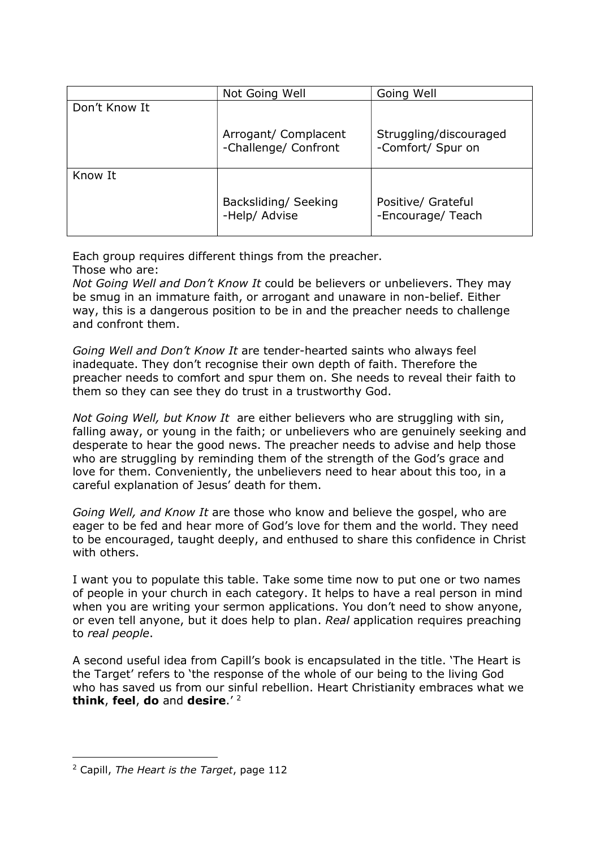|               | Not Going Well                               | Going Well                                  |
|---------------|----------------------------------------------|---------------------------------------------|
| Don't Know It |                                              |                                             |
|               | Arrogant/ Complacent<br>-Challenge/ Confront | Struggling/discouraged<br>-Comfort/ Spur on |
| Know It       |                                              |                                             |
|               | Backsliding/ Seeking<br>-Help/ Advise        | Positive/ Grateful<br>-Encourage/ Teach     |

Each group requires different things from the preacher. Those who are:

Not Going Well and Don't Know It could be believers or unbelievers. They may be smug in an immature faith, or arrogant and unaware in non-belief. Either way, this is a dangerous position to be in and the preacher needs to challenge and confront them.

Going Well and Don't Know It are tender-hearted saints who always feel inadequate. They don't recognise their own depth of faith. Therefore the preacher needs to comfort and spur them on. She needs to reveal their faith to them so they can see they do trust in a trustworthy God.

Not Going Well, but Know It are either believers who are struggling with sin, falling away, or young in the faith; or unbelievers who are genuinely seeking and desperate to hear the good news. The preacher needs to advise and help those who are struggling by reminding them of the strength of the God's grace and love for them. Conveniently, the unbelievers need to hear about this too, in a careful explanation of Jesus' death for them.

Going Well, and Know It are those who know and believe the gospel, who are eager to be fed and hear more of God's love for them and the world. They need to be encouraged, taught deeply, and enthused to share this confidence in Christ with others.

I want you to populate this table. Take some time now to put one or two names of people in your church in each category. It helps to have a real person in mind when you are writing your sermon applications. You don't need to show anyone, or even tell anyone, but it does help to plan. Real application requires preaching to real people.

A second useful idea from Capill's book is encapsulated in the title. 'The Heart is the Target' refers to 'the response of the whole of our being to the living God who has saved us from our sinful rebellion. Heart Christianity embraces what we think, feel, do and desire. $12$ 

-

<sup>&</sup>lt;sup>2</sup> Capill, The Heart is the Target, page 112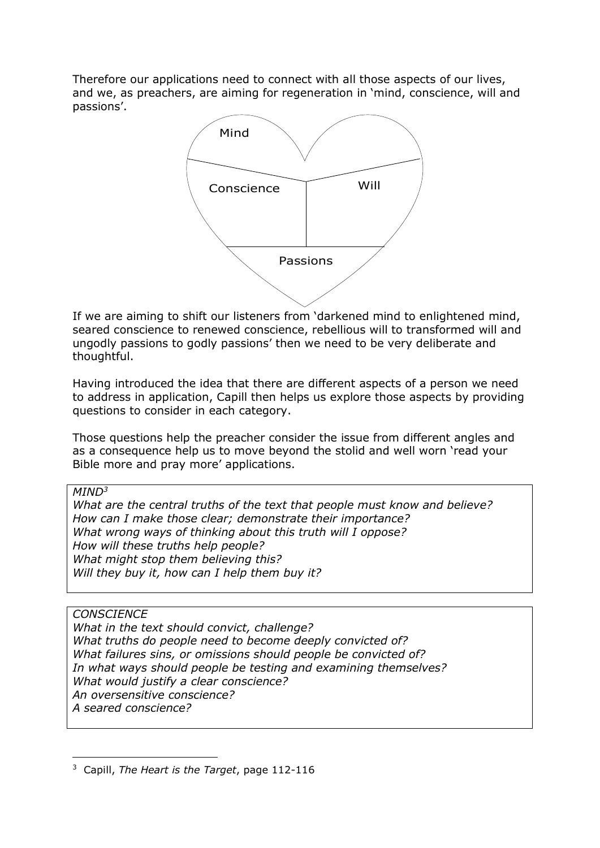Therefore our applications need to connect with all those aspects of our lives, and we, as preachers, are aiming for regeneration in 'mind, conscience, will and passions'.



If we are aiming to shift our listeners from 'darkened mind to enlightened mind, seared conscience to renewed conscience, rebellious will to transformed will and ungodly passions to godly passions' then we need to be very deliberate and thoughtful.

Having introduced the idea that there are different aspects of a person we need to address in application, Capill then helps us explore those aspects by providing questions to consider in each category.

Those questions help the preacher consider the issue from different angles and as a consequence help us to move beyond the stolid and well worn 'read your Bible more and pray more' applications.

## $MIND<sup>3</sup>$

What are the central truths of the text that people must know and believe? How can I make those clear; demonstrate their importance? What wrong ways of thinking about this truth will I oppose? How will these truths help people? What might stop them believing this? Will they buy it, how can I help them buy it?

## **CONSCIENCE**

What in the text should convict, challenge? What truths do people need to become deeply convicted of? What failures sins, or omissions should people be convicted of? In what ways should people be testing and examining themselves? What would justify a clear conscience? An oversensitive conscience? A seared conscience?

<sup>-</sup><sup>3</sup> Capill, The Heart is the Target, page 112-116